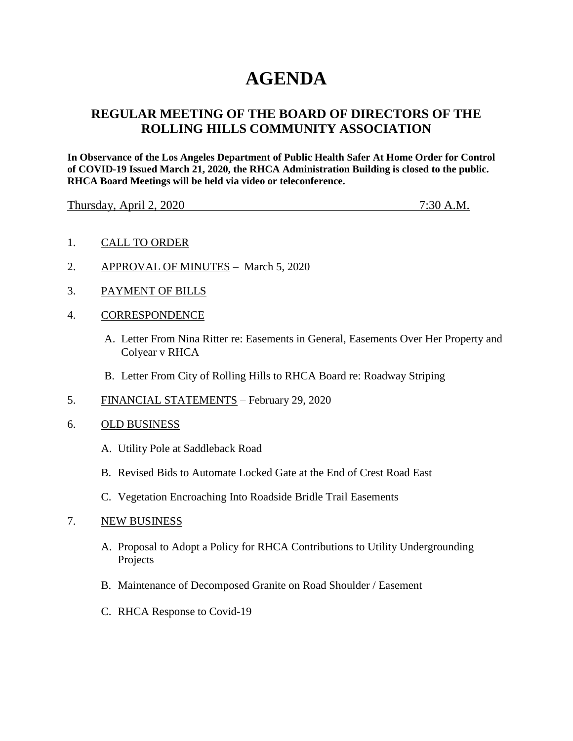# **AGENDA**

# **REGULAR MEETING OF THE BOARD OF DIRECTORS OF THE ROLLING HILLS COMMUNITY ASSOCIATION**

**In Observance of the Los Angeles Department of Public Health Safer At Home Order for Control of COVID-19 Issued March 21, 2020, the RHCA Administration Building is closed to the public. RHCA Board Meetings will be held via video or teleconference.** 

Thursday, April 2, 2020 7:30 A.M.

- 1. CALL TO ORDER
- 2. APPROVAL OF MINUTES March 5, 2020
- 3. PAYMENT OF BILLS
- 4. CORRESPONDENCE
	- A. Letter From Nina Ritter re: Easements in General, Easements Over Her Property and Colyear v RHCA
	- B. Letter From City of Rolling Hills to RHCA Board re: Roadway Striping
- 5. FINANCIAL STATEMENTS February 29, 2020
- 6. OLD BUSINESS
	- A. Utility Pole at Saddleback Road
	- B. Revised Bids to Automate Locked Gate at the End of Crest Road East
	- C. Vegetation Encroaching Into Roadside Bridle Trail Easements

#### 7. NEW BUSINESS

- A. Proposal to Adopt a Policy for RHCA Contributions to Utility Undergrounding Projects
- B. Maintenance of Decomposed Granite on Road Shoulder / Easement
- C. RHCA Response to Covid-19